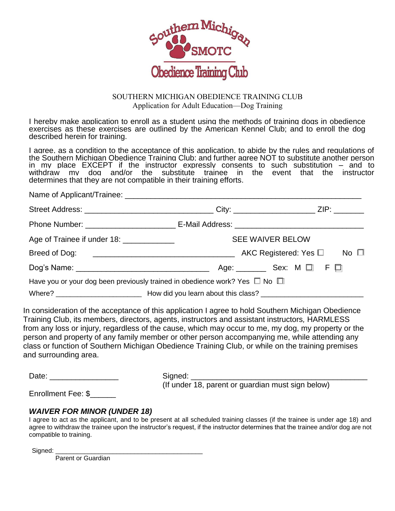

## SOUTHERN MICHIGAN OBEDIENCE TRAINING CLUB Application for Adult Education—Dog Training

I hereby make application to enroll as a student using the methods of training dogs in obedience exercises as these exercises are outlined by the American Kennel Club; and to enroll the dog described herein for training.

I agree, as a condition to the acceptance of this application, to abide by the rules and regulations of the Southern Michigan Obedience Training Club; and further agree NOT to substitute another person in my place EXCEPT if the instructor expressly consents to such substitution – and to withdraw my dog and/or the substitute trainee in the event that the instructor determines that they are not compatible in their training efforts.

| Age of Trainee if under 18: _____________ |                                                                                      | <b>SEE WAIVER BELOW</b>                    |  |  |  |  |  |
|-------------------------------------------|--------------------------------------------------------------------------------------|--------------------------------------------|--|--|--|--|--|
|                                           |                                                                                      | AKC Registered: Yes $\square$ No $\square$ |  |  |  |  |  |
|                                           |                                                                                      | Age:  Sex: M $\Box$ F $\Box$               |  |  |  |  |  |
|                                           | Have you or your dog been previously trained in obedience work? Yes $\Box$ No $\Box$ |                                            |  |  |  |  |  |
|                                           |                                                                                      |                                            |  |  |  |  |  |

In consideration of the acceptance of this application I agree to hold Southern Michigan Obedience Training Club, its members, directors, agents, instructors and assistant instructors*,* HARMLESS from any loss or injury, regardless of the cause, which may occur to me, my dog, my property or the person and property of any family member or other person accompanying me, while attending any class or function of Southern Michigan Obedience Training Club, or while on the training premises and surrounding area.

Date: etc. and the state of Signed:  $\Box$ 

(If under 18, parent or guardian must sign below)

Enrollment Fee: \$

## *WAIVER FOR MINOR (UNDER 18)*

I agree to act as the applicant, and to be present at all scheduled training classes (if the trainee is under age 18) and agree to withdraw the trainee upon the instructor's request, if the instructor determines that the trainee and/or dog are not compatible to training.

Signed:

Parent or Guardian